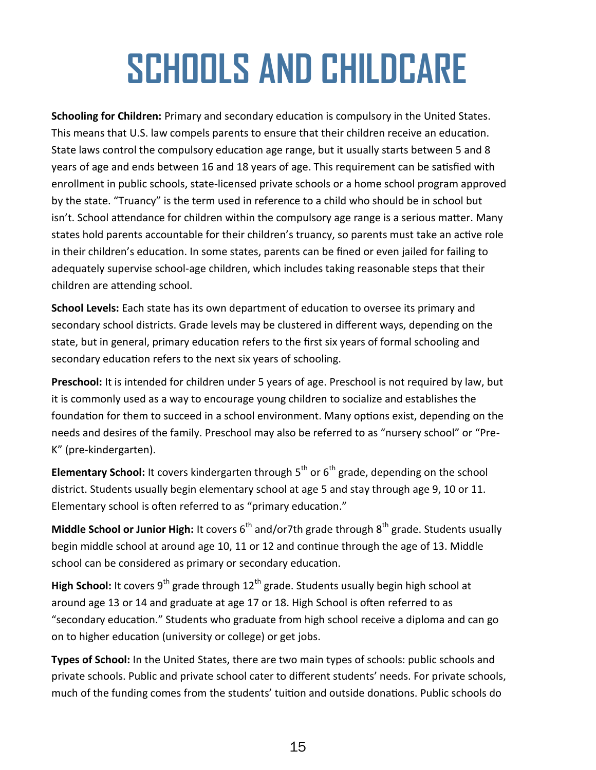## **SCHOOLS AND CHILDCARE**

**Schooling for Children:** Primary and secondary education is compulsory in the United States. This means that U.S. law compels parents to ensure that their children receive an education. State laws control the compulsory education age range, but it usually starts between 5 and 8 years of age and ends between 16 and 18 years of age. This requirement can be satisfied with enrollment in public schools, state-licensed private schools or a home school program approved by the state. "Truancy" is the term used in reference to a child who should be in school but isn't. School attendance for children within the compulsory age range is a serious matter. Many states hold parents accountable for their children's truancy, so parents must take an active role in their children's education. In some states, parents can be fined or even jailed for failing to adequately supervise school-age children, which includes taking reasonable steps that their children are attending school.

**School Levels:** Each state has its own department of education to oversee its primary and secondary school districts. Grade levels may be clustered in different ways, depending on the state, but in general, primary education refers to the first six years of formal schooling and secondary education refers to the next six years of schooling.

**Preschool:** It is intended for children under 5 years of age. Preschool is not required by law, but it is commonly used as a way to encourage young children to socialize and establishes the foundation for them to succeed in a school environment. Many options exist, depending on the needs and desires of the family. Preschool may also be referred to as "nursery school" or "Pre-K" (pre-kindergarten).

**Elementary School:** It covers kindergarten through 5<sup>th</sup> or 6<sup>th</sup> grade, depending on the school district. Students usually begin elementary school at age 5 and stay through age 9, 10 or 11. Elementary school is often referred to as "primary education."

**Middle School or Junior High:** It covers 6<sup>th</sup> and/or7th grade through 8<sup>th</sup> grade. Students usually begin middle school at around age 10, 11 or 12 and continue through the age of 13. Middle school can be considered as primary or secondary education.

High School: It covers 9<sup>th</sup> grade through 12<sup>th</sup> grade. Students usually begin high school at around age 13 or 14 and graduate at age 17 or 18. High School is often referred to as "secondary education." Students who graduate from high school receive a diploma and can go on to higher education (university or college) or get jobs.

**Types of School:** In the United States, there are two main types of schools: public schools and private schools. Public and private school cater to different students' needs. For private schools, much of the funding comes from the students' tuition and outside donations. Public schools do